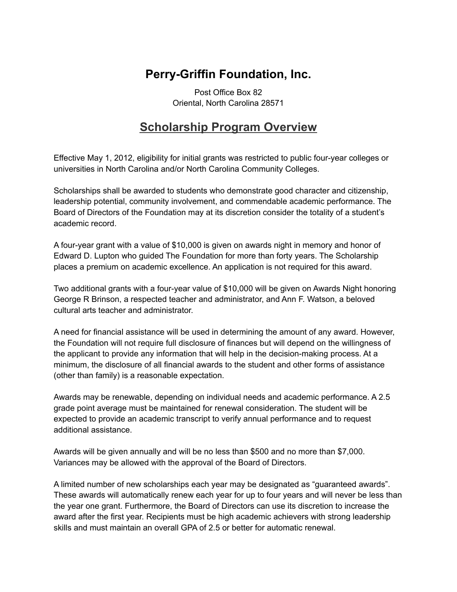### **Perry-Griffin Foundation, Inc.**

Post Office Box 82 Oriental, North Carolina 28571

### **Scholarship Program Overview**

Effective May 1, 2012, eligibility for initial grants was restricted to public four-year colleges or universities in North Carolina and/or North Carolina Community Colleges.

Scholarships shall be awarded to students who demonstrate good character and citizenship, leadership potential, community involvement, and commendable academic performance. The Board of Directors of the Foundation may at its discretion consider the totality of a student's academic record.

A four-year grant with a value of \$10,000 is given on awards night in memory and honor of Edward D. Lupton who guided The Foundation for more than forty years. The Scholarship places a premium on academic excellence. An application is not required for this award.

Two additional grants with a four-year value of \$10,000 will be given on Awards Night honoring George R Brinson, a respected teacher and administrator, and Ann F. Watson, a beloved cultural arts teacher and administrator.

A need for financial assistance will be used in determining the amount of any award. However, the Foundation will not require full disclosure of finances but will depend on the willingness of the applicant to provide any information that will help in the decision-making process. At a minimum, the disclosure of all financial awards to the student and other forms of assistance (other than family) is a reasonable expectation.

Awards may be renewable, depending on individual needs and academic performance. A 2.5 grade point average must be maintained for renewal consideration. The student will be expected to provide an academic transcript to verify annual performance and to request additional assistance.

Awards will be given annually and will be no less than \$500 and no more than \$7,000. Variances may be allowed with the approval of the Board of Directors.

A limited number of new scholarships each year may be designated as "guaranteed awards". These awards will automatically renew each year for up to four years and will never be less than the year one grant. Furthermore, the Board of Directors can use its discretion to increase the award after the first year. Recipients must be high academic achievers with strong leadership skills and must maintain an overall GPA of 2.5 or better for automatic renewal.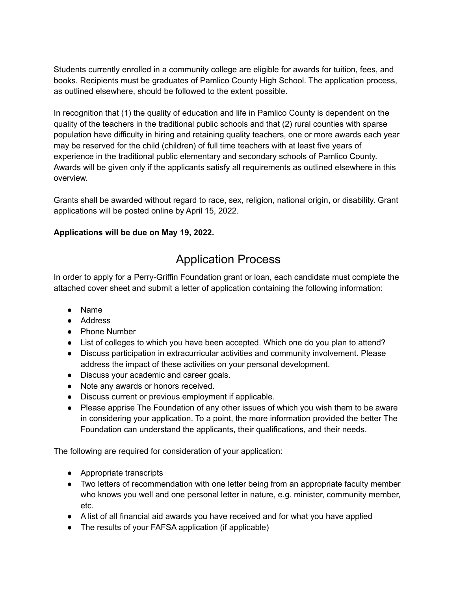Students currently enrolled in a community college are eligible for awards for tuition, fees, and books. Recipients must be graduates of Pamlico County High School. The application process, as outlined elsewhere, should be followed to the extent possible.

In recognition that (1) the quality of education and life in Pamlico County is dependent on the quality of the teachers in the traditional public schools and that (2) rural counties with sparse population have difficulty in hiring and retaining quality teachers, one or more awards each year may be reserved for the child (children) of full time teachers with at least five years of experience in the traditional public elementary and secondary schools of Pamlico County. Awards will be given only if the applicants satisfy all requirements as outlined elsewhere in this overview.

Grants shall be awarded without regard to race, sex, religion, national origin, or disability. Grant applications will be posted online by April 15, 2022.

#### **Applications will be due on May 19, 2022.**

# Application Process

In order to apply for a Perry-Griffin Foundation grant or loan, each candidate must complete the attached cover sheet and submit a letter of application containing the following information:

- Name
- Address
- Phone Number
- List of colleges to which you have been accepted. Which one do you plan to attend?
- Discuss participation in extracurricular activities and community involvement. Please address the impact of these activities on your personal development.
- Discuss your academic and career goals.
- Note any awards or honors received.
- Discuss current or previous employment if applicable.
- Please apprise The Foundation of any other issues of which you wish them to be aware in considering your application. To a point, the more information provided the better The Foundation can understand the applicants, their qualifications, and their needs.

The following are required for consideration of your application:

- Appropriate transcripts
- Two letters of recommendation with one letter being from an appropriate faculty member who knows you well and one personal letter in nature, e.g. minister, community member, etc.
- A list of all financial aid awards you have received and for what you have applied
- The results of your FAFSA application (if applicable)